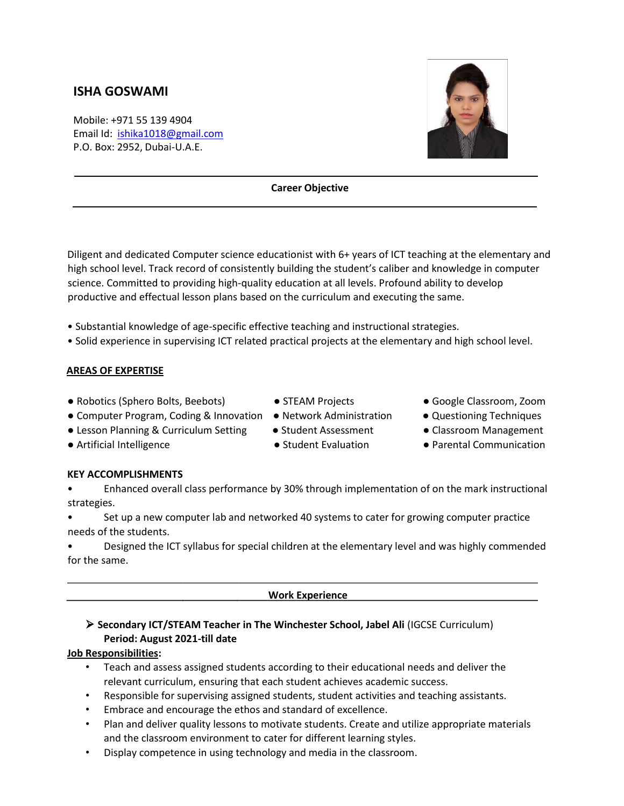# **ISHA GOSWAMI**

Mobile: +971 55 139 4904 Email Id: ishika1018@gmail.com P.O. Box: 2952, Dubai-U.A.E.



### **Career Objective**

Diligent and dedicated Computer science educationist with 6+ years of ICT teaching at the elementary and high school level. Track record of consistently building the student's caliber and knowledge in computer science. Committed to providing high-quality education at all levels. Profound ability to develop productive and effectual lesson plans based on the curriculum and executing the same.

- Substantial knowledge of age-specific effective teaching and instructional strategies.
- Solid experience in supervising ICT related practical projects at the elementary and high school level.

## **AREAS OF EXPERTISE**

- Robotics (Sphero Bolts, Beebots) STEAM Projects Google Classroom, Zoom
	-
	-
- Lesson Planning & Curriculum Setting Student Assessment Classroom Management
- 
- 
- 
- 
- Computer Program, Coding & Innovation Network Administration ● Questioning Techniques
	-
- Artificial Intelligence ● Student Evaluation Parental Communication

## **KEY ACCOMPLISHMENTS**

• Enhanced overall class performance by 30% through implementation of on the mark instructional strategies.

• Set up a new computer lab and networked 40 systems to cater for growing computer practice needs of the students.

• Designed the ICT syllabus for special children at the elementary level and was highly commended for the same.

 **Work Experience**

# ➢ **Secondary ICT/STEAM Teacher in The Winchester School, Jabel Ali** (IGCSE Curriculum) **Period: August 2021-till date**

## **Job Responsibilities:**

- Teach and assess assigned students according to their educational needs and deliver the relevant curriculum, ensuring that each student achieves academic success.
- Responsible for supervising assigned students, student activities and teaching assistants.
- Embrace and encourage the ethos and standard of excellence.
- Plan and deliver quality lessons to motivate students. Create and utilize appropriate materials and the classroom environment to cater for different learning styles.
- Display competence in using technology and media in the classroom.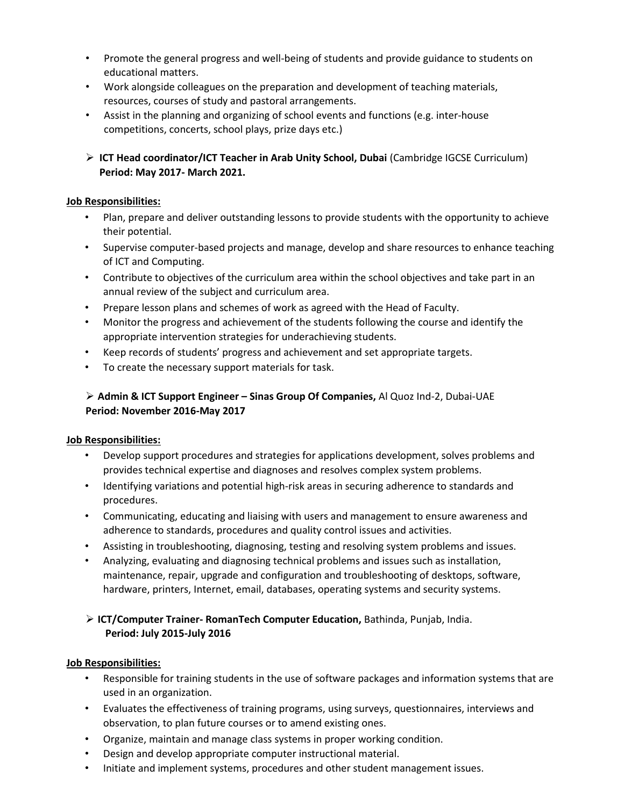- Promote the general progress and well-being of students and provide guidance to students on educational matters.
- Work alongside colleagues on the preparation and development of teaching materials, resources, courses of study and pastoral arrangements.
- Assist in the planning and organizing of school events and functions (e.g. inter-house competitions, concerts, school plays, prize days etc.)
- ➢ **ICT Head coordinator/ICT Teacher in Arab Unity School, Dubai** (Cambridge IGCSE Curriculum) **Period: May 2017- March 2021.**

## **Job Responsibilities:**

- Plan, prepare and deliver outstanding lessons to provide students with the opportunity to achieve their potential.
- Supervise computer-based projects and manage, develop and share resources to enhance teaching of ICT and Computing.
- Contribute to objectives of the curriculum area within the school objectives and take part in an annual review of the subject and curriculum area.
- Prepare lesson plans and schemes of work as agreed with the Head of Faculty.
- Monitor the progress and achievement of the students following the course and identify the appropriate intervention strategies for underachieving students.
- Keep records of students' progress and achievement and set appropriate targets.
- To create the necessary support materials for task.

# ➢ **Admin & ICT Support Engineer – Sinas Group Of Companies,** Al Quoz Ind-2, Dubai-UAE **Period: November 2016-May 2017**

# **Job Responsibilities:**

- Develop support procedures and strategies for applications development, solves problems and provides technical expertise and diagnoses and resolves complex system problems.
- Identifying variations and potential high-risk areas in securing adherence to standards and procedures.
- Communicating, educating and liaising with users and management to ensure awareness and adherence to standards, procedures and quality control issues and activities.
- Assisting in troubleshooting, diagnosing, testing and resolving system problems and issues.
- Analyzing, evaluating and diagnosing technical problems and issues such as installation, maintenance, repair, upgrade and configuration and troubleshooting of desktops, software, hardware, printers, Internet, email, databases, operating systems and security systems.

# ➢ **ICT/Computer Trainer- RomanTech Computer Education,** Bathinda, Punjab, India.  **Period: July 2015-July 2016**

# **Job Responsibilities:**

- Responsible for training students in the use of software packages and information systems that are used in an organization.
- Evaluates the effectiveness of training programs, using surveys, questionnaires, interviews and observation, to plan future courses or to amend existing ones.
- Organize, maintain and manage class systems in proper working condition.
- Design and develop appropriate computer instructional material.
- Initiate and implement systems, procedures and other student management issues.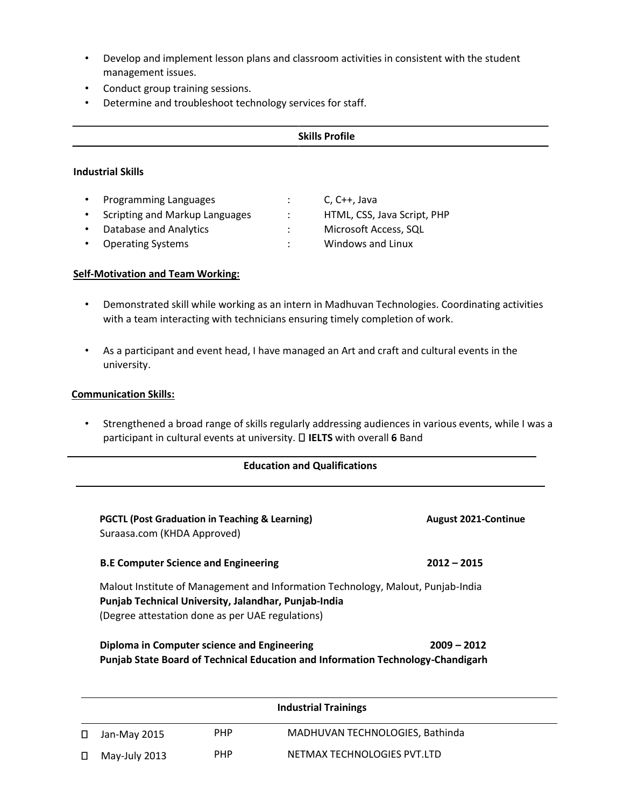- Develop and implement lesson plans and classroom activities in consistent with the student management issues.
- Conduct group training sessions.
- Determine and troubleshoot technology services for staff.

## **Skills Profile**

### **Industrial Skills**

| $\bullet$ | <b>Programming Languages</b>     | $C, C++, Java$              |
|-----------|----------------------------------|-----------------------------|
|           | • Scripting and Markup Languages | HTML, CSS, Java Script, PHP |
| $\bullet$ | <b>Database and Analytics</b>    | Microsoft Access, SQL       |
|           | <b>Operating Systems</b>         | Windows and Linux           |

### **Self-Motivation and Team Working:**

- Demonstrated skill while working as an intern in Madhuvan Technologies. Coordinating activities with a team interacting with technicians ensuring timely completion of work.
- As a participant and event head, I have managed an Art and craft and cultural events in the university.

### **Communication Skills:**

• Strengthened a broad range of skills regularly addressing audiences in various events, while I was a participant in cultural events at university. **IELTS** with overall **6** Band

#### **Education and Qualifications**

| <b>PGCTL (Post Graduation in Teaching &amp; Learning)</b><br>Suraasa.com (KHDA Approved)                                                                                                    | <b>August 2021-Continue</b> |
|---------------------------------------------------------------------------------------------------------------------------------------------------------------------------------------------|-----------------------------|
| <b>B.E Computer Science and Engineering</b>                                                                                                                                                 | $2012 - 2015$               |
| Malout Institute of Management and Information Technology, Malout, Punjab-India<br>Punjab Technical University, Jalandhar, Punjab-India<br>(Degree attestation done as per UAE regulations) |                             |
| Diploma in Computer science and Engineering                                                                                                                                                 | $2009 - 2012$               |

| Diploma in Computer science and Engineering                                     | $2009 - 2012$ |
|---------------------------------------------------------------------------------|---------------|
| Punjab State Board of Technical Education and Information Technology-Chandigarh |               |

|        |               |            | <b>Industrial Trainings</b>     |  |
|--------|---------------|------------|---------------------------------|--|
|        | Jan-May 2015  | <b>PHP</b> | MADHUVAN TECHNOLOGIES, Bathinda |  |
| $\Box$ | May-July 2013 | PHP        | NETMAX TECHNOLOGIES PVT.LTD     |  |